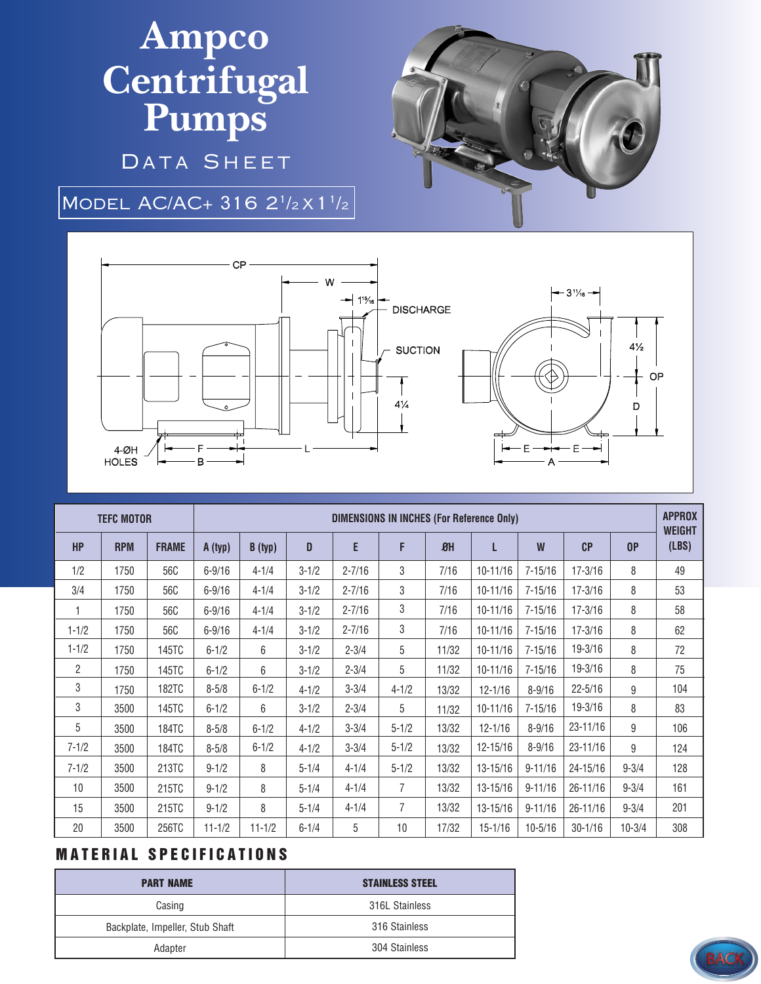## **Ampco Centrifugal Pumps** DATA SHEET



MODEL AC/AC+ 316 2<sup>1</sup>/2 X 1<sup>1</sup>/2



| <b>TEFC MOTOR</b> |            |              | <b>DIMENSIONS IN INCHES (For Reference Only)</b> |            |           |            |                |                  |              |             |             |            | <b>APPROX</b><br><b>WEIGHT</b> |
|-------------------|------------|--------------|--------------------------------------------------|------------|-----------|------------|----------------|------------------|--------------|-------------|-------------|------------|--------------------------------|
| <b>HP</b>         | <b>RPM</b> | <b>FRAME</b> | A (typ)                                          | B (typ)    | D         | E          | F              | $\mathfrak{B}$ H | L            | W           | CP          | 0P         | (LBS)                          |
| 1/2               | 1750       | 56C          | $6 - 9/16$                                       | $4 - 1/4$  | $3 - 1/2$ | $2 - 7/16$ | 3              | 7/16             | $10 - 11/16$ | $7 - 15/16$ | $17 - 3/16$ | 8          | 49                             |
| 3/4               | 1750       | 56C          | $6 - 9/16$                                       | $4 - 1/4$  | $3 - 1/2$ | $2 - 7/16$ | 3              | 7/16             | $10 - 11/16$ | $7 - 15/16$ | $17 - 3/16$ | 8          | 53                             |
|                   | 1750       | 56C          | $6 - 9/16$                                       | $4 - 1/4$  | $3 - 1/2$ | $2 - 7/16$ | 3              | 7/16             | $10 - 11/16$ | $7 - 15/16$ | $17 - 3/16$ | 8          | 58                             |
| $1 - 1/2$         | 1750       | 56C          | $6 - 9/16$                                       | $4 - 1/4$  | $3 - 1/2$ | $2 - 7/16$ | 3              | 7/16             | $10 - 11/16$ | $7 - 15/16$ | $17 - 3/16$ | 8          | 62                             |
| $1 - 1/2$         | 1750       | 145TC        | $6 - 1/2$                                        | 6          | $3 - 1/2$ | $2 - 3/4$  | 5              | 11/32            | $10 - 11/16$ | $7 - 15/16$ | 19-3/16     | 8          | 72                             |
| $\overline{2}$    | 1750       | 145TC        | $6 - 1/2$                                        | 6          | $3 - 1/2$ | $2 - 3/4$  | 5              | 11/32            | $10 - 11/16$ | $7 - 15/16$ | 19-3/16     | 8          | 75                             |
| 3                 | 1750       | <b>182TC</b> | $8 - 5/8$                                        | $6 - 1/2$  | $4 - 1/2$ | $3 - 3/4$  | $4 - 1/2$      | 13/32            | $12 - 1/16$  | $8 - 9/16$  | $22 - 5/16$ | 9          | 104                            |
| 3                 | 3500       | 145TC        | $6 - 1/2$                                        | 6          | $3 - 1/2$ | $2 - 3/4$  | 5              | 11/32            | $10 - 11/16$ | $7 - 15/16$ | 19-3/16     | 8          | 83                             |
| 5                 | 3500       | 184TC        | $8 - 5/8$                                        | $6 - 1/2$  | $4 - 1/2$ | $3 - 3/4$  | $5 - 1/2$      | 13/32            | $12 - 1/16$  | $8 - 9/16$  | 23-11/16    | 9          | 106                            |
| $7 - 1/2$         | 3500       | 184TC        | $8 - 5/8$                                        | $6 - 1/2$  | $4 - 1/2$ | $3 - 3/4$  | $5 - 1/2$      | 13/32            | 12-15/16     | $8 - 9/16$  | 23-11/16    | 9          | 124                            |
| $7 - 1/2$         | 3500       | 213TC        | $9 - 1/2$                                        | 8          | $5 - 1/4$ | $4 - 1/4$  | $5 - 1/2$      | 13/32            | 13-15/16     | $9 - 11/16$ | 24-15/16    | $9 - 3/4$  | 128                            |
| 10                | 3500       | 215TC        | $9 - 1/2$                                        | 8          | $5 - 1/4$ | $4 - 1/4$  | $\overline{7}$ | 13/32            | 13-15/16     | $9 - 11/16$ | 26-11/16    | $9 - 3/4$  | 161                            |
| 15                | 3500       | 215TC        | $9 - 1/2$                                        | 8          | $5 - 1/4$ | $4 - 1/4$  | $\overline{7}$ | 13/32            | 13-15/16     | $9 - 11/16$ | 26-11/16    | $9 - 3/4$  | 201                            |
| 20                | 3500       | 256TC        | $11 - 1/2$                                       | $11 - 1/2$ | $6 - 1/4$ | 5          | 10             | 17/32            | $15 - 1/16$  | $10 - 5/16$ | $30 - 1/16$ | $10 - 3/4$ | 308                            |

## **MATERIAL SPECIFICATIONS**

| <b>PART NAME</b>                | <b>STAINLESS STEEL</b> |  |  |  |  |
|---------------------------------|------------------------|--|--|--|--|
| Casing                          | 316L Stainless         |  |  |  |  |
| Backplate, Impeller, Stub Shaft | 316 Stainless          |  |  |  |  |
| Adapter                         | 304 Stainless          |  |  |  |  |